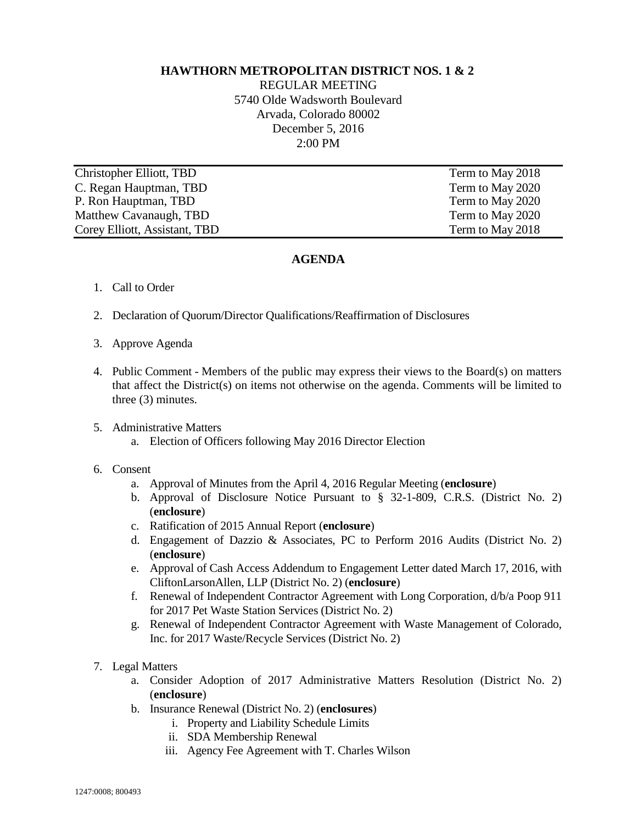## **HAWTHORN METROPOLITAN DISTRICT NOS. 1 & 2**

REGULAR MEETING 5740 Olde Wadsworth Boulevard Arvada, Colorado 80002 December 5, 2016 2:00 PM

Christopher Elliott, TBD Term to May 2018 C. Regan Hauptman, TBD Term to May 2020 P. Ron Hauptman, TBD Term to May 2020 Matthew Cavanaugh, TBD Term to May 2020 Corey Elliott, Assistant, TBD Term to May 2018

## **AGENDA**

- 1. Call to Order
- 2. Declaration of Quorum/Director Qualifications/Reaffirmation of Disclosures
- 3. Approve Agenda
- 4. Public Comment Members of the public may express their views to the Board(s) on matters that affect the District(s) on items not otherwise on the agenda. Comments will be limited to three (3) minutes.
- 5. Administrative Matters
	- a. Election of Officers following May 2016 Director Election
- 6. Consent
	- a. Approval of Minutes from the April 4, 2016 Regular Meeting (**enclosure**)
	- b. Approval of Disclosure Notice Pursuant to § 32-1-809, C.R.S. (District No. 2) (**enclosure**)
	- c. Ratification of 2015 Annual Report (**enclosure**)
	- d. Engagement of Dazzio & Associates, PC to Perform 2016 Audits (District No. 2) (**enclosure**)
	- e. Approval of Cash Access Addendum to Engagement Letter dated March 17, 2016, with CliftonLarsonAllen, LLP (District No. 2) (**enclosure**)
	- f. Renewal of Independent Contractor Agreement with Long Corporation, d/b/a Poop 911 for 2017 Pet Waste Station Services (District No. 2)
	- g. Renewal of Independent Contractor Agreement with Waste Management of Colorado, Inc. for 2017 Waste/Recycle Services (District No. 2)
- 7. Legal Matters
	- a. Consider Adoption of 2017 Administrative Matters Resolution (District No. 2) (**enclosure**)
	- b. Insurance Renewal (District No. 2) (**enclosures**)
		- i. Property and Liability Schedule Limits
		- ii. SDA Membership Renewal
		- iii. Agency Fee Agreement with T. Charles Wilson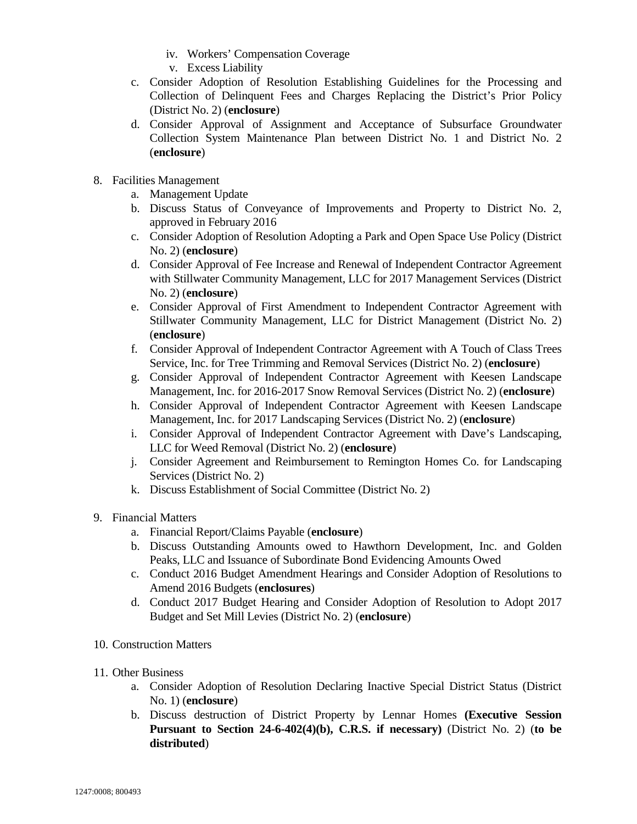- iv. Workers' Compensation Coverage
- v. Excess Liability
- c. Consider Adoption of Resolution Establishing Guidelines for the Processing and Collection of Delinquent Fees and Charges Replacing the District's Prior Policy (District No. 2) (**enclosure**)
- d. Consider Approval of Assignment and Acceptance of Subsurface Groundwater Collection System Maintenance Plan between District No. 1 and District No. 2 (**enclosure**)
- 8. Facilities Management
	- a. Management Update
	- b. Discuss Status of Conveyance of Improvements and Property to District No. 2, approved in February 2016
	- c. Consider Adoption of Resolution Adopting a Park and Open Space Use Policy (District No. 2) (**enclosure**)
	- d. Consider Approval of Fee Increase and Renewal of Independent Contractor Agreement with Stillwater Community Management, LLC for 2017 Management Services (District No. 2) (**enclosure**)
	- e. Consider Approval of First Amendment to Independent Contractor Agreement with Stillwater Community Management, LLC for District Management (District No. 2) (**enclosure**)
	- f. Consider Approval of Independent Contractor Agreement with A Touch of Class Trees Service, Inc. for Tree Trimming and Removal Services (District No. 2) (**enclosure**)
	- g. Consider Approval of Independent Contractor Agreement with Keesen Landscape Management, Inc. for 2016-2017 Snow Removal Services (District No. 2) (**enclosure**)
	- h. Consider Approval of Independent Contractor Agreement with Keesen Landscape Management, Inc. for 2017 Landscaping Services (District No. 2) (**enclosure**)
	- i. Consider Approval of Independent Contractor Agreement with Dave's Landscaping, LLC for Weed Removal (District No. 2) (**enclosure**)
	- j. Consider Agreement and Reimbursement to Remington Homes Co. for Landscaping Services (District No. 2)
	- k. Discuss Establishment of Social Committee (District No. 2)
- 9. Financial Matters
	- a. Financial Report/Claims Payable (**enclosure**)
	- b. Discuss Outstanding Amounts owed to Hawthorn Development, Inc. and Golden Peaks, LLC and Issuance of Subordinate Bond Evidencing Amounts Owed
	- c. Conduct 2016 Budget Amendment Hearings and Consider Adoption of Resolutions to Amend 2016 Budgets (**enclosures**)
	- d. Conduct 2017 Budget Hearing and Consider Adoption of Resolution to Adopt 2017 Budget and Set Mill Levies (District No. 2) (**enclosure**)
- 10. Construction Matters
- 11. Other Business
	- a. Consider Adoption of Resolution Declaring Inactive Special District Status (District No. 1) (**enclosure**)
	- b. Discuss destruction of District Property by Lennar Homes **(Executive Session Pursuant to Section 24-6-402(4)(b), C.R.S. if necessary)** (District No. 2) (**to be distributed**)